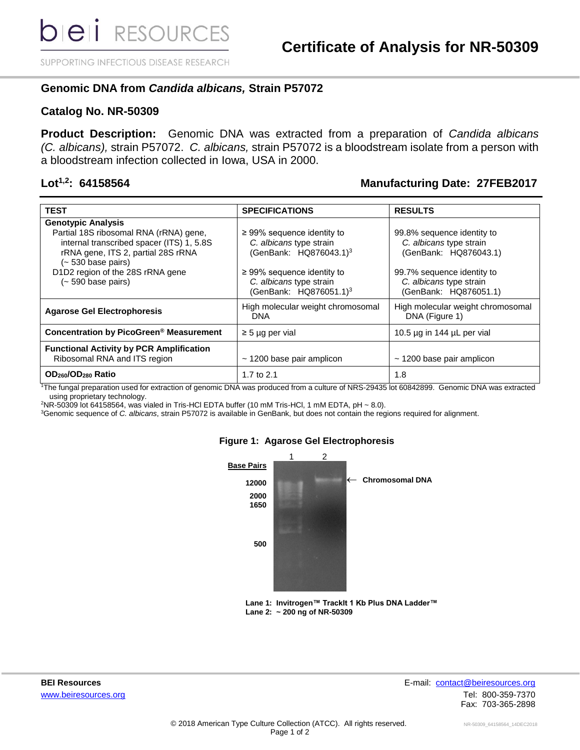SUPPORTING INFECTIOUS DISEASE RESEARCH

# **Genomic DNA from** *Candida albicans,* **Strain P57072**

## **Catalog No. NR-50309**

**Product Description:** Genomic DNA was extracted from a preparation of *Candida albicans (C. albicans),* strain P57072. *C. albicans,* strain P57072 is a bloodstream isolate from a person with a bloodstream infection collected in Iowa, USA in 2000.

# **Lot1,2: 64158564 Manufacturing Date: 27FEB2017**

| <b>TEST</b>                                                       | <b>SPECIFICATIONS</b>                           | <b>RESULTS</b>                                      |
|-------------------------------------------------------------------|-------------------------------------------------|-----------------------------------------------------|
| <b>Genotypic Analysis</b>                                         |                                                 |                                                     |
| Partial 18S ribosomal RNA (rRNA) gene,                            | $\geq$ 99% sequence identity to                 | 99.8% sequence identity to                          |
| internal transcribed spacer (ITS) 1, 5.8S                         | C. albicans type strain                         | C. albicans type strain                             |
| rRNA gene, ITS 2, partial 28S rRNA<br>$(-530 \text{ base pairs})$ | (GenBank: HQ876043.1) <sup>3</sup>              | (GenBank: HQ876043.1)                               |
| D1D2 region of the 28S rRNA gene                                  | $\geq$ 99% sequence identity to                 | 99.7% sequence identity to                          |
| $(-590 \text{ base pairs})$                                       | C. albicans type strain                         | C. albicans type strain                             |
|                                                                   | (GenBank: HQ876051.1) <sup>3</sup>              | (GenBank: HQ876051.1)                               |
| <b>Agarose Gel Electrophoresis</b>                                | High molecular weight chromosomal<br><b>DNA</b> | High molecular weight chromosomal<br>DNA (Figure 1) |
| Concentration by PicoGreen <sup>®</sup> Measurement               | $\geq$ 5 µg per vial                            | 10.5 µg in 144 µL per vial                          |
| <b>Functional Activity by PCR Amplification</b>                   |                                                 |                                                     |
| Ribosomal RNA and ITS region                                      | $\sim$ 1200 base pair amplicon                  | $\sim$ 1200 base pair amplicon                      |
| OD <sub>260</sub> /OD <sub>280</sub> Ratio                        | 1.7 to 2.1                                      | 1.8                                                 |

<sup>1</sup>The fungal preparation used for extraction of genomic DNA was produced from a culture of NRS-29435 lot 60842899. Genomic DNA was extracted using proprietary technology.

 $2$ NR-50309 lot 64158564, was vialed in Tris-HCl EDTA buffer (10 mM Tris-HCl, 1 mM EDTA, pH  $\sim$  8.0).

<sup>3</sup>Genomic sequence of *C. albicans*, strain P57072 is available in GenBank, but does not contain the regions required for alignment.



### **Figure 1: Agarose Gel Electrophoresis**

**Lane 1: Invitrogen™ TrackIt 1 Kb Plus DNA Ladder™ Lane 2: ~ 200 ng of NR-50309**